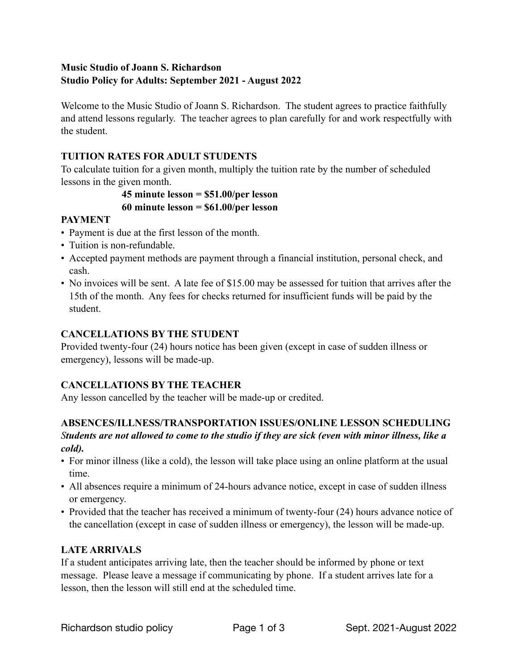## **Music Studio of Joann S. Richardson Studio Policy for Adults: September 2021 - August 2022**

Welcome to the Music Studio of Joann S. Richardson. The student agrees to practice faithfully and attend lessons regularly. The teacher agrees to plan carefully for and work respectfully with the student.

## **TUITION RATES FOR ADULT STUDENTS**

To calculate tuition for a given month, multiply the tuition rate by the number of scheduled lessons in the given month.

# **45 minute lesson = \$51.00/per lesson 60 minute lesson = \$61.00/per lesson**

## **PAYMENT**

- Payment is due at the first lesson of the month.
- Tuition is non-refundable.
- Accepted payment methods are payment through a financial institution, personal check, and cash.
- No invoices will be sent. A late fee of \$15.00 may be assessed for tuition that arrives after the 15th of the month. Any fees for checks returned for insufficient funds will be paid by the student.

## **CANCELLATIONS BY THE STUDENT**

Provided twenty-four (24) hours notice has been given (except in case of sudden illness or emergency), lessons will be made-up.

## **CANCELLATIONS BY THE TEACHER**

Any lesson cancelled by the teacher will be made-up or credited.

## **ABSENCES/ILLNESS/TRANSPORTATION ISSUES/ONLINE LESSON SCHEDULING**  *Students are not allowed to come to the studio if they are sick (even with minor illness, like a cold).*

- For minor illness (like a cold), the lesson will take place using an online platform at the usual time.
- All absences require a minimum of 24-hours advance notice, except in case of sudden illness or emergency.
- Provided that the teacher has received a minimum of twenty-four (24) hours advance notice of the cancellation (except in case of sudden illness or emergency), the lesson will be made-up.

## **LATE ARRIVALS**

If a student anticipates arriving late, then the teacher should be informed by phone or text message. Please leave a message if communicating by phone. If a student arrives late for a lesson, then the lesson will still end at the scheduled time.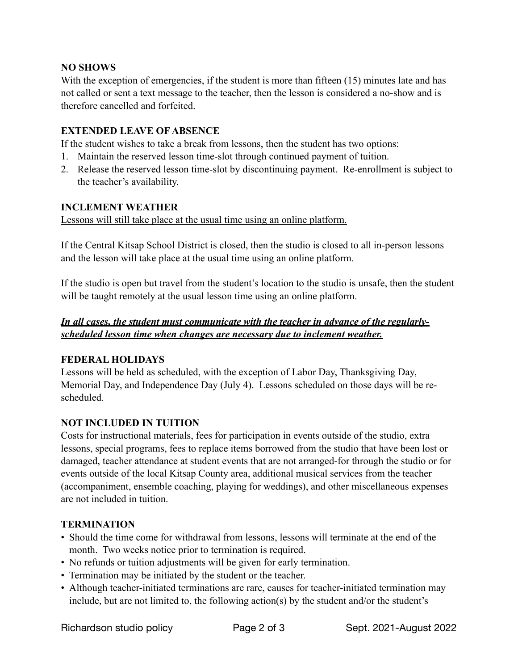## **NO SHOWS**

With the exception of emergencies, if the student is more than fifteen (15) minutes late and has not called or sent a text message to the teacher, then the lesson is considered a no-show and is therefore cancelled and forfeited.

## **EXTENDED LEAVE OF ABSENCE**

If the student wishes to take a break from lessons, then the student has two options:

- 1. Maintain the reserved lesson time-slot through continued payment of tuition.
- 2. Release the reserved lesson time-slot by discontinuing payment. Re-enrollment is subject to the teacher's availability.

## **INCLEMENT WEATHER**

Lessons will still take place at the usual time using an online platform.

If the Central Kitsap School District is closed, then the studio is closed to all in-person lessons and the lesson will take place at the usual time using an online platform.

If the studio is open but travel from the student's location to the studio is unsafe, then the student will be taught remotely at the usual lesson time using an online platform.

## *In all cases, the student must communicate with the teacher in advance of the regularlyscheduled lesson time when changes are necessary due to inclement weather.*

## **FEDERAL HOLIDAYS**

Lessons will be held as scheduled, with the exception of Labor Day, Thanksgiving Day, Memorial Day, and Independence Day (July 4). Lessons scheduled on those days will be rescheduled.

## **NOT INCLUDED IN TUITION**

Costs for instructional materials, fees for participation in events outside of the studio, extra lessons, special programs, fees to replace items borrowed from the studio that have been lost or damaged, teacher attendance at student events that are not arranged-for through the studio or for events outside of the local Kitsap County area, additional musical services from the teacher (accompaniment, ensemble coaching, playing for weddings), and other miscellaneous expenses are not included in tuition.

## **TERMINATION**

- Should the time come for withdrawal from lessons, lessons will terminate at the end of the month. Two weeks notice prior to termination is required.
- No refunds or tuition adjustments will be given for early termination.
- Termination may be initiated by the student or the teacher.
- Although teacher-initiated terminations are rare, causes for teacher-initiated termination may include, but are not limited to, the following action(s) by the student and/or the student's